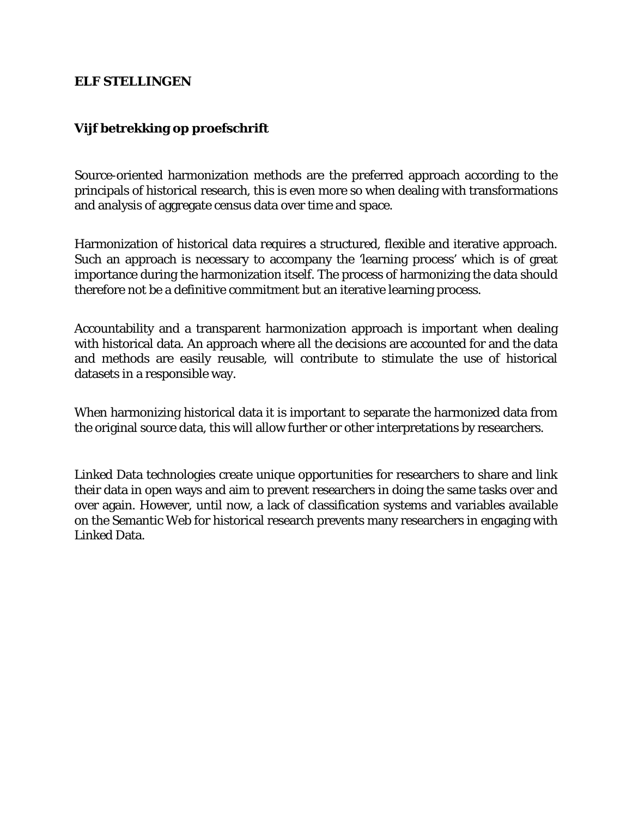## **ELF STELLINGEN**

## **Vijf betrekking op proefschrift**

Source-oriented harmonization methods are the preferred approach according to the principals of historical research, this is even more so when dealing with transformations and analysis of aggregate census data over time and space.

Harmonization of historical data requires a structured, flexible and iterative approach. Such an approach is necessary to accompany the 'learning process' which is of great importance during the harmonization itself. The process of harmonizing the data should therefore not be a definitive commitment but an iterative learning process.

Accountability and a transparent harmonization approach is important when dealing with historical data. An approach where all the decisions are accounted for and the data and methods are easily reusable, will contribute to stimulate the use of historical datasets in a responsible way.

When harmonizing historical data it is important to separate the harmonized data from the original source data, this will allow further or other interpretations by researchers.

Linked Data technologies create unique opportunities for researchers to share and link their data in open ways and aim to prevent researchers in doing the same tasks over and over again. However, until now, a lack of classification systems and variables available on the Semantic Web for historical research prevents many researchers in engaging with Linked Data.